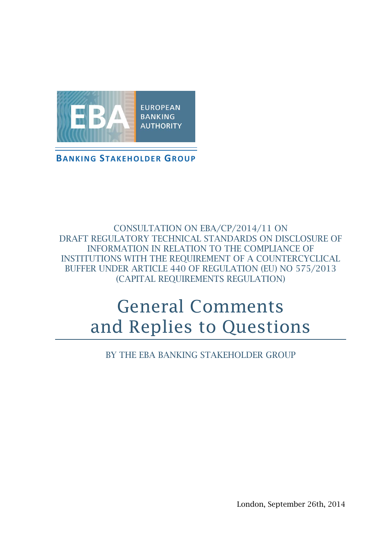

**BANKING STAKEHOLDER GROUP**

CONSULTATION ON EBA/CP/2014/11 ON DRAFT REGULATORY TECHNICAL STANDARDS ON DISCLOSURE OF INFORMATION IN RELATION TO THE COMPLIANCE OF INSTITUTIONS WITH THE REQUIREMENT OF A COUNTERCYCLICAL BUFFER UNDER ARTICLE 440 OF REGULATION (EU) NO 575/2013 (CAPITAL REQUIREMENTS REGULATION)

# General Comments and Replies to Questions

BY THE EBA BANKING STAKEHOLDER GROUP

London, September 26th, 2014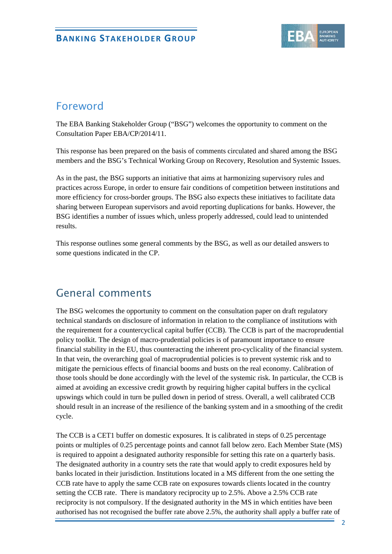

# Foreword

The EBA Banking Stakeholder Group ("BSG") welcomes the opportunity to comment on the Consultation Paper EBA/CP/2014/11.

This response has been prepared on the basis of comments circulated and shared among the BSG members and the BSG's Technical Working Group on Recovery, Resolution and Systemic Issues.

As in the past, the BSG supports an initiative that aims at harmonizing supervisory rules and practices across Europe, in order to ensure fair conditions of competition between institutions and more efficiency for cross-border groups. The BSG also expects these initiatives to facilitate data sharing between European supervisors and avoid reporting duplications for banks. However, the BSG identifies a number of issues which, unless properly addressed, could lead to unintended results.

This response outlines some general comments by the BSG, as well as our detailed answers to some questions indicated in the CP.

# General comments

The BSG welcomes the opportunity to comment on the consultation paper on draft regulatory technical standards on disclosure of information in relation to the compliance of institutions with the requirement for a countercyclical capital buffer (CCB). The CCB is part of the macroprudential policy toolkit. The design of macro-prudential policies is of paramount importance to ensure financial stability in the EU, thus counteracting the inherent pro-cyclicality of the financial system. In that vein, the overarching goal of macroprudential policies is to prevent systemic risk and to mitigate the pernicious effects of financial booms and busts on the real economy. Calibration of those tools should be done accordingly with the level of the systemic risk. In particular, the CCB is aimed at avoiding an excessive credit growth by requiring higher capital buffers in the cyclical upswings which could in turn be pulled down in period of stress. Overall, a well calibrated CCB should result in an increase of the resilience of the banking system and in a smoothing of the credit cycle.

The CCB is a CET1 buffer on domestic exposures. It is calibrated in steps of 0.25 percentage points or multiples of 0.25 percentage points and cannot fall below zero. Each Member State (MS) is required to appoint a designated authority responsible for setting this rate on a quarterly basis. The designated authority in a country sets the rate that would apply to credit exposures held by banks located in their jurisdiction. Institutions located in a MS different from the one setting the CCB rate have to apply the same CCB rate on exposures towards clients located in the country setting the CCB rate. There is mandatory reciprocity up to 2.5%. Above a 2.5% CCB rate reciprocity is not compulsory. If the designated authority in the MS in which entities have been authorised has not recognised the buffer rate above 2.5%, the authority shall apply a buffer rate of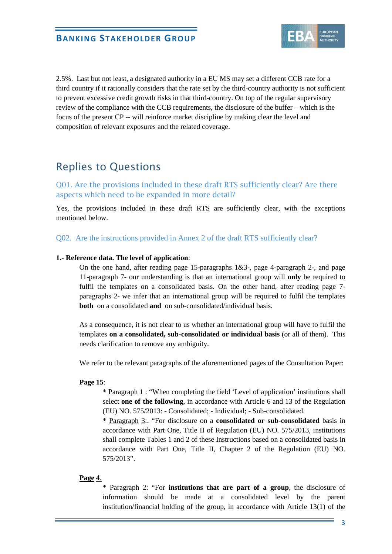

2.5%. Last but not least, a designated authority in a EU MS may set a different CCB rate for a third country if it rationally considers that the rate set by the third-country authority is not sufficient to prevent excessive credit growth risks in that third-country. On top of the regular supervisory review of the compliance with the CCB requirements, the disclosure of the buffer – which is the focus of the present CP -- will reinforce market discipline by making clear the level and composition of relevant exposures and the related coverage.

# Replies to Questions

Q01. Are the provisions included in these draft RTS sufficiently clear? Are there aspects which need to be expanded in more detail?

Yes, the provisions included in these draft RTS are sufficiently clear, with the exceptions mentioned below.

Q02. Are the instructions provided in Annex 2 of the draft RTS sufficiently clear?

#### **1.- Reference data. The level of application**:

On the one hand, after reading page 15-paragraphs  $1&3$ -, page 4-paragraph 2-, and page 11-paragraph 7- our understanding is that an international group will **only** be required to fulfil the templates on a consolidated basis. On the other hand, after reading page 7 paragraphs 2- we infer that an international group will be required to fulfil the templates **both** on a consolidated **and** on sub-consolidated/individual basis.

As a consequence, it is not clear to us whether an international group will have to fulfil the templates **on a consolidated, sub-consolidated or individual basis** (or all of them). This needs clarification to remove any ambiguity.

We refer to the relevant paragraphs of the aforementioned pages of the Consultation Paper:

#### **Page 15**:

\* Paragraph 1 : "When completing the field 'Level of application' institutions shall select **one of the following**, in accordance with Article 6 and 13 of the Regulation (EU) NO. 575/2013: - Consolidated; - Individual; - Sub-consolidated.

\* Paragraph 3:. "For disclosure on a **consolidated or sub-consolidated** basis in accordance with Part One, Title II of Regulation (EU) NO. 575/2013, institutions shall complete Tables 1 and 2 of these Instructions based on a consolidated basis in accordance with Part One, Title II, Chapter 2 of the Regulation (EU) NO. 575/2013".

### **Page 4**.

\* Paragraph 2: "For **institutions that are part of a group**, the disclosure of information should be made at a consolidated level by the parent institution/financial holding of the group, in accordance with Article 13(1) of the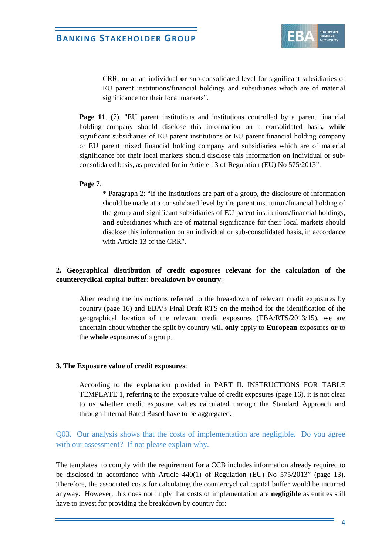# **BANKING STAKEHOLDER GROUP**



CRR, **or** at an individual **or** sub-consolidated level for significant subsidiaries of EU parent institutions/financial holdings and subsidiaries which are of material significance for their local markets".

**Page 11.** (7). "EU parent institutions and institutions controlled by a parent financial holding company should disclose this information on a consolidated basis, **while** significant subsidiaries of EU parent institutions or EU parent financial holding company or EU parent mixed financial holding company and subsidiaries which are of material significance for their local markets should disclose this information on individual or subconsolidated basis, as provided for in Article 13 of Regulation (EU) No 575/2013".

#### **Page 7**.

\* Paragraph 2: "If the institutions are part of a group, the disclosure of information should be made at a consolidated level by the parent institution/financial holding of the group **and** significant subsidiaries of EU parent institutions/financial holdings, **and** subsidiaries which are of material significance for their local markets should disclose this information on an individual or sub-consolidated basis, in accordance with Article 13 of the CRR".

## **2. Geographical distribution of credit exposures relevant for the calculation of the countercyclical capital buffer**: **breakdown by country**:

After reading the instructions referred to the breakdown of relevant credit exposures by country (page 16) and EBA's Final Draft RTS on the method for the identification of the geographical location of the relevant credit exposures (EBA/RTS/2013/15), we are uncertain about whether the split by country will **only** apply to **European** exposures **or** to the **whole** exposures of a group.

#### **3. The Exposure value of credit exposures**:

According to the explanation provided in PART II. INSTRUCTIONS FOR TABLE TEMPLATE 1, referring to the exposure value of credit exposures (page 16), it is not clear to us whether credit exposure values calculated through the Standard Approach and through Internal Rated Based have to be aggregated.

## Q03. Our analysis shows that the costs of implementation are negligible. Do you agree with our assessment? If not please explain why.

The templates to comply with the requirement for a CCB includes information already required to be disclosed in accordance with Article 440(1) of Regulation (EU) No 575/2013" (page 13). Therefore, the associated costs for calculating the countercyclical capital buffer would be incurred anyway. However, this does not imply that costs of implementation are **negligible** as entities still have to invest for providing the breakdown by country for: